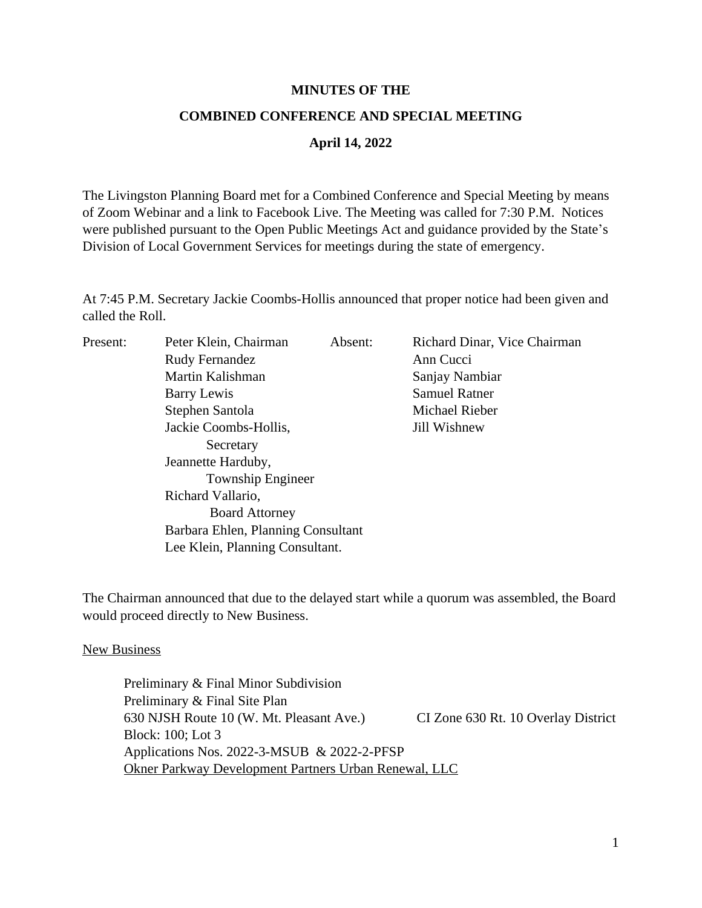## **MINUTES OF THE**

## **COMBINED CONFERENCE AND SPECIAL MEETING April 14, 2022**

The Livingston Planning Board met for a Combined Conference and Special Meeting by means of Zoom Webinar and a link to Facebook Live. The Meeting was called for 7:30 P.M. Notices were published pursuant to the Open Public Meetings Act and guidance provided by the State's Division of Local Government Services for meetings during the state of emergency.

At 7:45 P.M. Secretary Jackie Coombs-Hollis announced that proper notice had been given and called the Roll.

| Present: | Peter Klein, Chairman              | Absent: | Richard Dinar, Vice Chairman |  |
|----------|------------------------------------|---------|------------------------------|--|
|          | Rudy Fernandez                     |         | Ann Cucci                    |  |
|          | Martin Kalishman                   |         | Sanjay Nambiar               |  |
|          | Barry Lewis                        |         | <b>Samuel Ratner</b>         |  |
|          | Stephen Santola                    |         | Michael Rieber               |  |
|          | Jackie Coombs-Hollis,              |         | Jill Wishnew                 |  |
|          | Secretary                          |         |                              |  |
|          | Jeannette Harduby,                 |         |                              |  |
|          | <b>Township Engineer</b>           |         |                              |  |
|          | Richard Vallario,                  |         |                              |  |
|          | <b>Board Attorney</b>              |         |                              |  |
|          | Barbara Ehlen, Planning Consultant |         |                              |  |
|          | Lee Klein, Planning Consultant.    |         |                              |  |
|          |                                    |         |                              |  |

The Chairman announced that due to the delayed start while a quorum was assembled, the Board would proceed directly to New Business.

New Business

Preliminary & Final Minor Subdivision Preliminary & Final Site Plan 630 NJSH Route 10 (W. Mt. Pleasant Ave.) CI Zone 630 Rt. 10 Overlay District Block: 100; Lot 3 Applications Nos. 2022-3-MSUB & 2022-2-PFSP Okner Parkway Development Partners Urban Renewal, LLC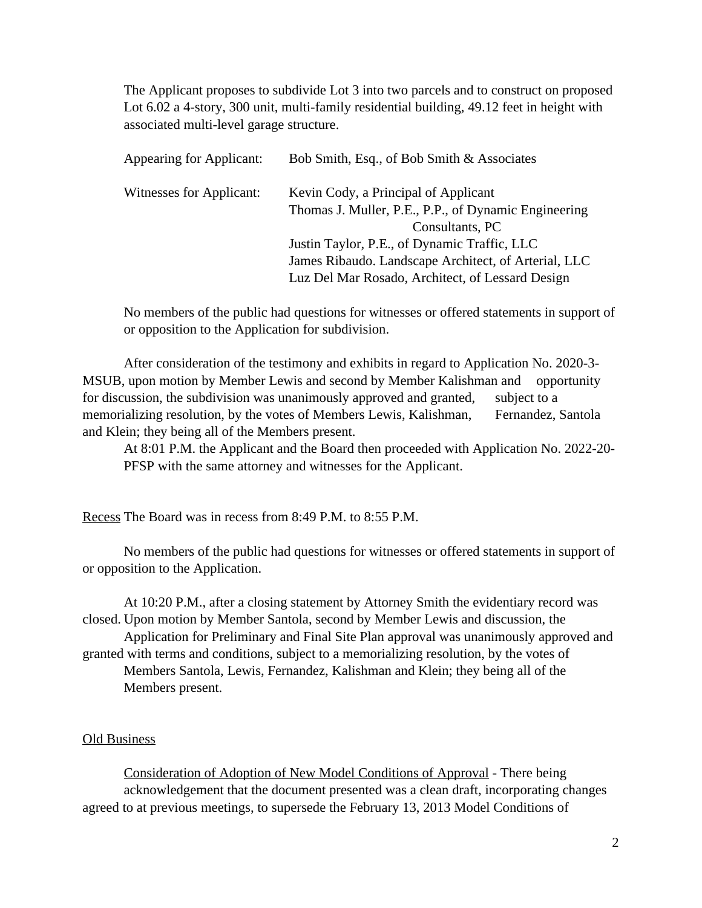The Applicant proposes to subdivide Lot 3 into two parcels and to construct on proposed Lot 6.02 a 4-story, 300 unit, multi-family residential building, 49.12 feet in height with associated multi-level garage structure.

| Appearing for Applicant: | Bob Smith, Esq., of Bob Smith & Associates           |
|--------------------------|------------------------------------------------------|
| Witnesses for Applicant: | Kevin Cody, a Principal of Applicant                 |
|                          | Thomas J. Muller, P.E., P.P., of Dynamic Engineering |
|                          | Consultants, PC                                      |
|                          | Justin Taylor, P.E., of Dynamic Traffic, LLC         |
|                          | James Ribaudo. Landscape Architect, of Arterial, LLC |
|                          | Luz Del Mar Rosado, Architect, of Lessard Design     |

No members of the public had questions for witnesses or offered statements in support of or opposition to the Application for subdivision.

After consideration of the testimony and exhibits in regard to Application No. 2020-3- MSUB, upon motion by Member Lewis and second by Member Kalishman and opportunity for discussion, the subdivision was unanimously approved and granted, subject to a memorializing resolution, by the votes of Members Lewis, Kalishman, Fernandez, Santola and Klein; they being all of the Members present.

At 8:01 P.M. the Applicant and the Board then proceeded with Application No. 2022-20- PFSP with the same attorney and witnesses for the Applicant.

Recess The Board was in recess from 8:49 P.M. to 8:55 P.M.

No members of the public had questions for witnesses or offered statements in support of or opposition to the Application.

At 10:20 P.M., after a closing statement by Attorney Smith the evidentiary record was closed. Upon motion by Member Santola, second by Member Lewis and discussion, the Application for Preliminary and Final Site Plan approval was unanimously approved and granted with terms and conditions, subject to a memorializing resolution, by the votes of Members Santola, Lewis, Fernandez, Kalishman and Klein; they being all of the Members present.

## Old Business

Consideration of Adoption of New Model Conditions of Approval - There being acknowledgement that the document presented was a clean draft, incorporating changes agreed to at previous meetings, to supersede the February 13, 2013 Model Conditions of